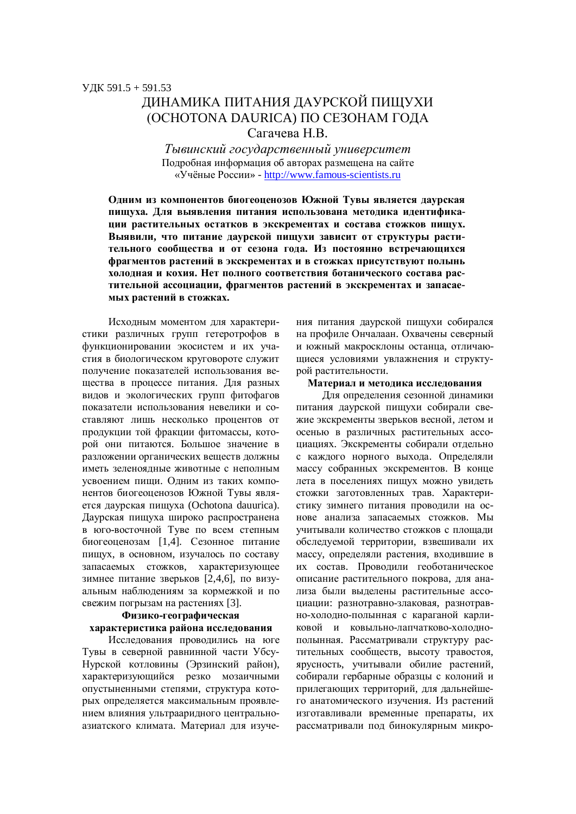# ЛИНАМИКА ПИТАНИЯ ЛАУРСКОЙ ПИШУХИ (ОСНОТОNA DAURICA) ПО СЕЗОНАМ ГОДА Сагачева Н В.

*Ɍɵɜɢɧɫɤɢɣɝɨɫɭɞɚɪɫɬɜɟɧɧɵɣɭɧɢɜɟɪɫɢɬɟɬ* Подробная информация об авторах размещена на сайте «Учёные России» - http://www.famous-scientists.ru

Одним из компонентов биогеоценозов Южной Тувы является даурская пищуха. Для выявления питания использована методика идентифика-**ЦИИ РАСТИТЕЛЬНЫХ ОСТАТКОВ В ЭКСКРЕМЕНТАХ И СОСТАВА СТОЖКОВ ПИЩУХ.** Выявили, что питание даурской пищухи зависит от структуры растительного сообщества и от сезона года. Из постоянно встречающихся фрагментов растений в экскрементах и в стожках присутствуют полынь **холодная и кохия. Нет полного соответствия ботанического состава рас**тительной ассоциации, фрагментов растений в экскрементах и запасае**мых растений в стожках.** 

Исходным моментом для характеристики различных групп гетеротрофов в функционировании экосистем и их участия в биологическом круговороте служит получение показателей использования вещества в процессе питания. Для разных видов и экологических групп фитофагов показатели использования невелики и составляют лишь несколько процентов от продукции той фракции фитомассы, которой они питаются. Большое значение в разложении органических веществ должны иметь зеленоядные животные с неполным усвоением пищи. Одним из таких компонентов биогеоценозов Южной Тувы является даурская пищуха (Ochotona dauurica). Даурская пищуха широко распространена в юго-восточной Туве по всем степным биогеоценозам [1,4]. Сезонное питание пищух, в основном, изучалось по составу запасаемых стожков, характеризующее зимнее питание зверьков [2,4,6], по визуальным наблюдениям за кормежкой и по свежим погрызам на растениях [3].

### Физико-географическая **характеристика района исследования**

Исследования проводились на юге Тувы в северной равнинной части Убсу-Нурской котловины (Эрзинский район), характеризующийся резко мозаичными опустыненными степями, структура которых определяется максимальным проявлением влияния ультрааридного центральноазиатского климата. Материал для изучения питания даурской пищухи собирался на профиле Ончалаан. Охвачены северный и южный макросклоны останца, отличаюшиеся условиями увлажнения и структурой растительности.

#### Материал и методика исследования

Для определения сезонной динамики питания даурской пищухи собирали свежие экскременты зверьков весной, летом и осенью в различных растительных ассоциациях. Экскременты собирали отдельно с каждого норного выхода. Определяли массу собранных экскрементов. В конце лета в поселениях пищух можно увидеть стожки заготовленных трав. Характеристику зимнего питания проводили на основе анализа запасаемых стожков. Мы учитывали количество стожков с плошали обследуемой территории, взвешивали их массу, определяли растения, входившие в их состав. Проводили геоботаническое описание растительного покрова, для анализа были выделены растительные ассоциации: разнотравно-злаковая, разнотравно-холодно-полынная с караганой карликовой и ковыльно-лапчатково-холоднополынная. Рассматривали структуру растительных сообществ, высоту травостоя, ярусность, учитывали обилие растений, собирали гербарные образцы с колоний и прилегающих территорий, для дальнейшего анатомического изучения. Из растений изготавливали временные препараты, их рассматривали под бинокулярным микро-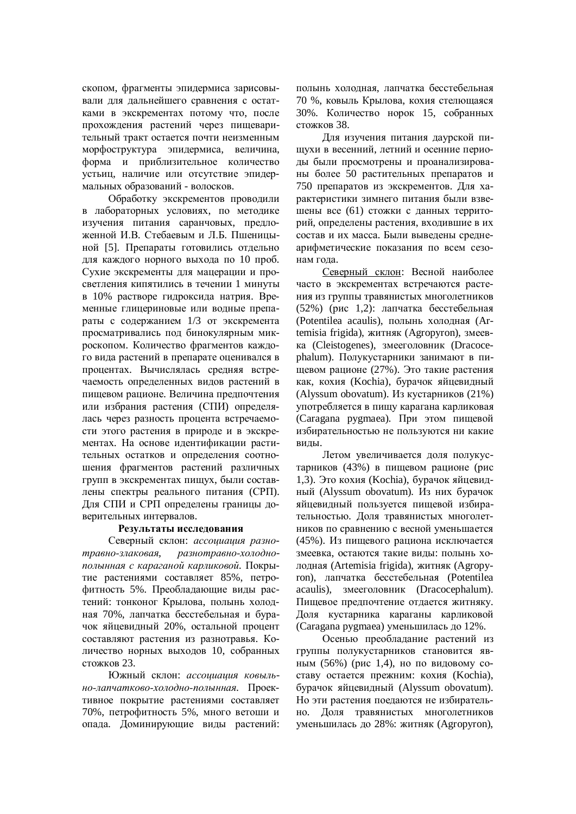скопом, фрагменты эпидермиса зарисовывали для дальнейшего сравнения с остатками в экскрементах потому что, после прохождения растений через пищеварительный тракт остается почти неизменным морфоструктура эпидермиса, величина, форма и приблизительное количество устьиц, наличие или отсутствие эпидермальных образований - волосков.

Обработку экскрементов проводили в лабораторных условиях, по методике изучения питания саранчовых, предложенной И.В. Стебаевым и Л.Б. Пшеницыной [5]. Препараты готовились отдельно для каждого норного выхода по 10 проб. Сухие экскременты для мацерации и просветления кипятились в течении 1 минуты в 10% растворе гидроксида натрия. Временные глицериновые или водные препараты с содержанием 1/3 от экскремента просматривались под бинокулярным микроскопом. Количество фрагментов каждого вида растений в препарате оценивался в процентах. Вычислялась средняя встречаемость определенных видов растений в пищевом рационе. Величина предпочтения или избрания растения (СПИ) определялась через разность процента встречаемости этого растения в природе и в экскрементах. На основе идентификации растительных остатков и определения соотношения фрагментов растений различных групп в экскрементах пищух, были составлены спектры реального питания (СРП). Для СПИ и СРП определены границы доверительных интервалов.

#### Результаты исследования

Северный склон: ассоциация разно $mpa$ вно-злаковая, разнотравно-холоднополынная с караганой карликовой. Покрытие растениями составляет 85%, петрофитность 5%. Преобладающие виды растений: тонконог Крылова, полынь холодная 70%, лапчатка бесстебельная и бурачок яйцевидный 20%, остальной процент составляют растения из разнотравья. Количество норных выходов 10, собранных  $c$ тожков 23.

Южный склон: *ассоциация ковыльно-лапчатково-холодно-полынная*. Проективное покрытие растениями составляет 70%, петрофитность 5%, много ветоши и опада. Доминирующие виды растений:

полынь холодная, лапчатка бесстебельная 70 %, ковыль Крылова, кохия стелющаяся 30%. Количество норок 15, собранных стожков 38.

Для изучения питания даурской пищухи в весенний, летний и осенние периоды были просмотрены и проанализированы более 50 растительных препаратов и 750 препаратов из экскрементов. Для характеристики зимнего питания были взвешены все (61) стожки с данных территорий, определены растения, входившие в их состав и их масса. Были выведены среднеарифметические показания по всем сезонам года.

Северный склон: Весной наиболее часто в экскрементах встречаются растения из группы травянистых многолетников (52%) (рис 1,2): лапчатка бесстебельная (Potentilea acaulis), полынь холодная (Artemisia frigida), житняк (Agropyron), змеевка (Cleistogenes), змееголовник (Dracocephalum). Полукустарники занимают в пищевом рационе (27%). Это такие растения как, кохия (Kochia), бурачок яйцевидный (Alyssum obovatum). Из кустарников  $(21\%)$ употребляется в пищу карагана карликовая (Caragana pygmaea). При этом пищевой избирательностью не пользуются ни какие вилы.

Летом увеличивается доля полукустарников (43%) в пищевом рационе (рис 1,3). Это кохия (Kochia), бурачок яйцевидный (Alyssum obovatum). Из них бурачок яйцевидный пользуется пищевой избирательностью. Доля травянистых многолетников по сравнению с весной уменьшается (45%). Из пищевого рациона исключается змеевка, остаются такие виды: полынь холодная (Artemisia frigida), житняк (Agropyron), лапчатка бесстебельная (Potentilea acaulis), змееголовник (Dracocephalum). Пищевое предпочтение отдается житняку. Доля кустарника караганы карликовой (Caragana pygmaea) уменьшилась до  $12\%$ .

Осенью преобладание растений из группы полукустарников становится явным  $(56\%)$  (рис 1,4), но по видовому составу остается прежним: кохия (Kochia), бурачок яйцевидный (Alyssum obovatum). Но эти растения поелаются не избирательно. Доля травянистых многолетников уменьшилась до 28%: житняк (Agropyron),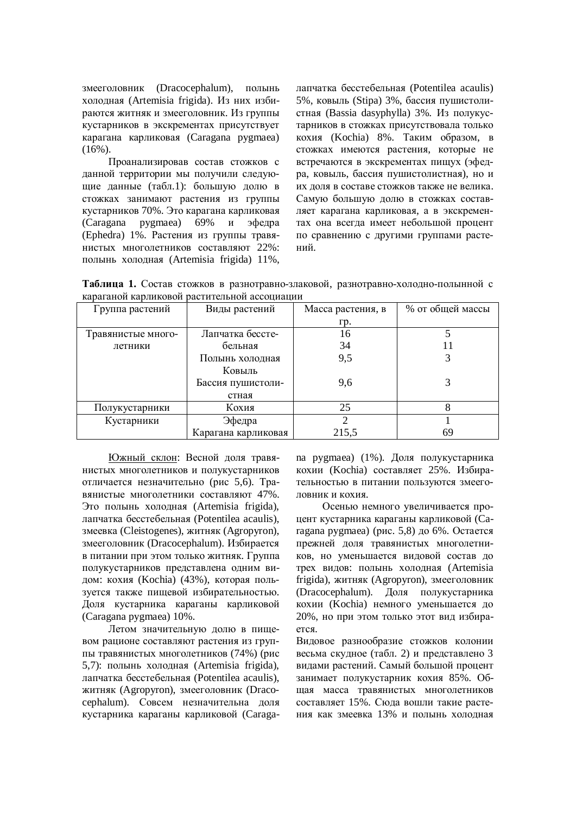змееголовник (Dracocephalum), полынь холодная (Artemisia frigida). Из них избираются житняк и змееголовник. Из группы кустарников в экскрементах присутствует карагана карликовая (Caragana pygmaea)  $(16\%)$ .

Проанализировав состав стожков с данной территории мы получили следующие данные (табл.1): большую долю в стожках занимают растения из группы кустарников 70%. Это карагана карликовая (Caragana pygmaea) 69% и эфедра (Ephedra) 1%. Растения из группы травянистых многолетников составляют 22%: полынь холодная (Artemisia frigida) 11%,

лапчатка бесстебельная (Potentilea acaulis) 5%, ковыль (Stipa) 3%, бассия пушистолистная (Bassia dasyphylla) 3%. Из полукустарников в стожках присутствовала только кохия (Kochia) 8%. Таким образом, в стожках имеются растения, которые не встречаются в экскрементах пищух (эфедра, ковыль, бассия пушистолистная), но и их доля в составе стожков также не велика. Самую большую долю в стожках составляет карагана карликовая, а в экскрементах она всегда имеет небольшой процент по сравнению с другими группами растений.

Таблица 1. Состав стожков в разнотравно-злаковой, разнотравно-холодно-полынной с караганой карликовой растительной ассоциации

| Группа растений    | Виды растений       | Масса растения, в | % от общей массы |
|--------------------|---------------------|-------------------|------------------|
|                    |                     | Гp.               |                  |
| Травянистые много- | Лапчатка бессте-    | 16                |                  |
| летники            | бельная             | 34                |                  |
|                    | Полынь холодная     | 9,5               |                  |
|                    | Ковыль              |                   |                  |
|                    | Бассия пушистоли-   | 9,6               |                  |
|                    | стная               |                   |                  |
| Полукустарники     | Кохия               | 25                |                  |
| Кустарники         | Эфедра              | ↑                 |                  |
|                    | Карагана карликовая | 215,5             | 69               |

Южный склон: Весной доля травянистых многолетников и полукустарников отличается незначительно (рис 5,6). Травянистые многолетники составляют 47%. Это полынь холодная (Artemisia frigida), лапчатка бесстебельная (Potentilea acaulis), змеевка (Cleistogenes), житняк (Agropyron), змееголовник (Dracocephalum). Избирается в питании при этом только житняк. Группа полукустарников представлена одним видом: кохия (Kochia) (43%), которая пользуется также пищевой избирательностью. Доля кустарника караганы карликовой (Caragana pygmaea) 10%.

Летом значительную долю в пищевом рационе составляют растения из группы травянистых многолетников (74%) (рис 5,7): полынь холодная (Artemisia frigida), лапчатка бесстебельная (Potentilea acaulis), житняк (Agropyron), змееголовник (Dracocephalum). Совсем незначительна доля кустарника караганы карликовой (Caragana pygmaea) (1%). Доля полукустарника кохии (Kochia) составляет 25%. Избирательностью в питании пользуются змееголовник и кохия.

Осенью немного увеличивается процент кустарника караганы карликовой (Саragana pygmaea) (рис. 5,8) до  $6\%$ . Остается прежней доля травянистых многолетников, но уменьшается видовой состав до трех видов: полынь холодная (Artemisia frigida), житняк (Agropyron), змееголовник (Dracocephalum). Доля полукустарника кохии (Kochia) немного уменьшается до 20%, но при этом только этот вид избирается.

Видовое разнообразие стожков колонии весьма скудное (табл. 2) и представлено 3 видами растений. Самый большой процент занимает полукустарник кохия 85%. Общая масса травянистых многолетников составляет 15%. Сюда вошли такие растения как змеевка 13% и полынь холодная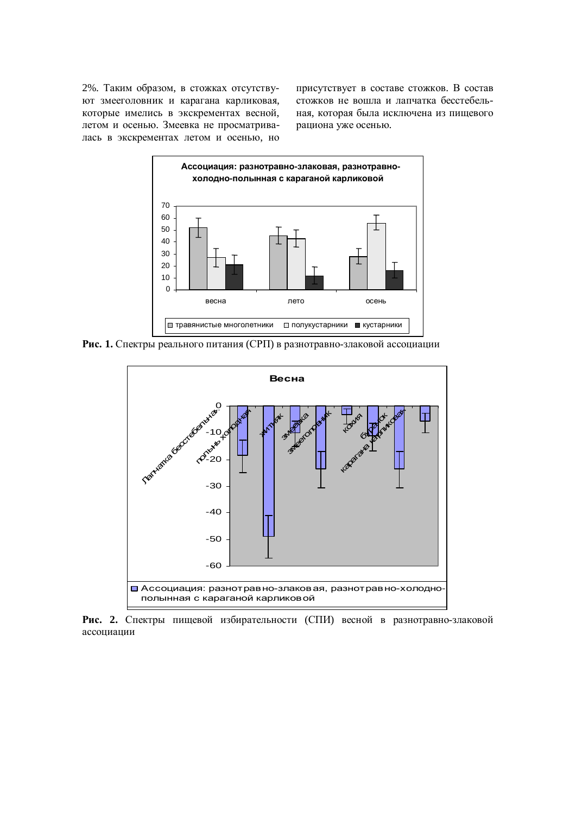2%. Таким образом, в стожках отсутствуют змееголовник и карагана карликовая, которые имелись в экскрементах весной, летом и осенью. Змеевка не просматривалась в экскрементах летом и осенью, но

присутствует в составе стожков. В состав стожков не вошла и лапчатка бесстебельная, которая была исключена из пищевого рациона уже осенью.



Рис. 1. Спектры реального питания (СРП) в разнотравно-злаковой ассоциации



Рис. 2. Спектры пищевой избирательности (СПИ) весной в разнотравно-злаковой ассоциации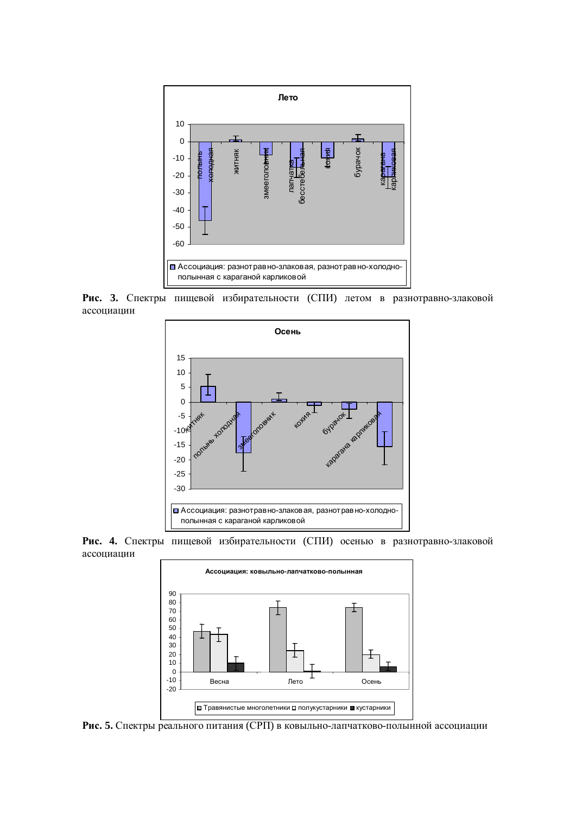

Рис. 3. Спектры пищевой избирательности (СПИ) летом в разнотравно-злаковой accoциации



Рис. 4. Спектры пищевой избирательности (СПИ) осенью в разнотравно-злаковой ассоциации



Рис. 5. Спектры реального питания (СРП) в ковыльно-лапчатково-полынной ассоциации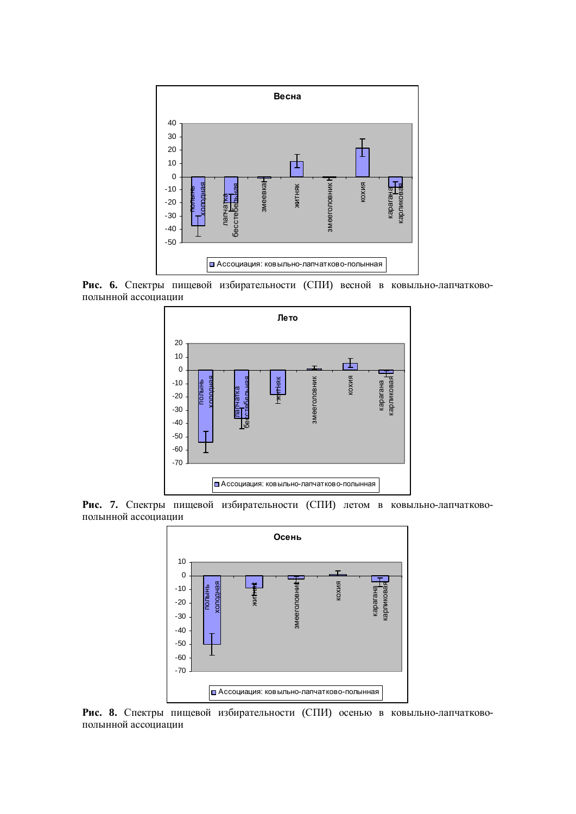

Рис. 6. Спектры пищевой избирательности (СПИ) весной в ковыльно-лапчатковополынной ассоциации



Рис. 7. Спектры пищевой избирательности (СПИ) летом в ковыльно-лапчатковополынной ассоциации



Рис. 8. Спектры пищевой избирательности (СПИ) осенью в ковыльно-лапчатковополынной ассоциации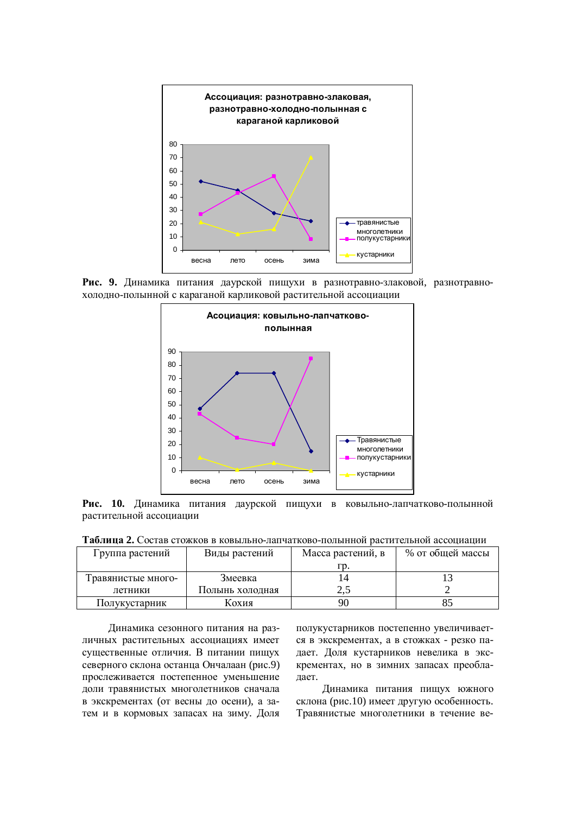

Рис. 9. Динамика питания даурской пищухи в разнотравно-злаковой, разнотравнохолодно-полынной с караганой карликовой растительной ассоциации



Рис. 10. Динамика питания даурской пищухи в ковыльно-лапчатково-полынной растительной ассоциации

| Таблица 2. Состав стожков в ковыльно-лапчатково-полынной растительной ассоциации |  |
|----------------------------------------------------------------------------------|--|
|                                                                                  |  |

| Группа растений    | Виды растений   | Масса растений, в | % от общей массы |
|--------------------|-----------------|-------------------|------------------|
|                    |                 |                   |                  |
| Гравянистые много- | Змеевка         |                   |                  |
| летники            | Полынь холодная | ل و ک             |                  |
| Полукустарник      | Кохия           | 90                |                  |

Динамика сезонного питания на различных растительных ассоциациях имеет существенные отличия. В питании пищух северного склона останца Ончалаан (рис.9) прослеживается постепенное уменьшение доли травянистых многолетников сначала в экскрементах (от весны до осени), а затем и в кормовых запасах на зиму. Доля

полукустарников постепенно увеличивается в экскрементах, а в стожках - резко падает. Доля кустарников невелика в экскрементах, но в зимних запасах преоблалает.

Динамика питания пищух южного склона (рис.10) имеет другую особенность. Травянистые многолетники в течение ве